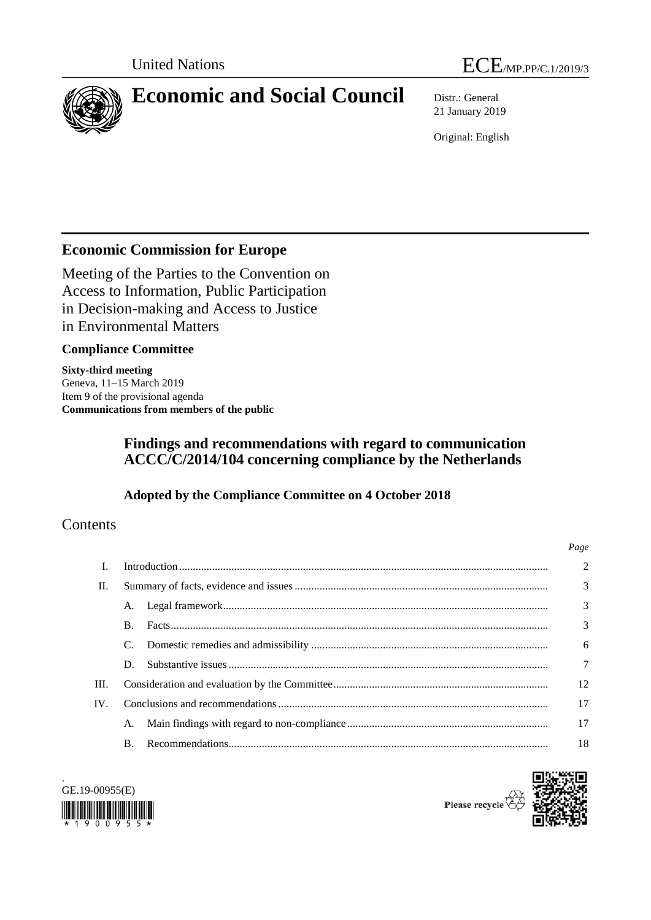



# **Economic and Social Council** Distr.: General

21 January 2019

Original: English

# **Economic Commission for Europe**

Meeting of the Parties to the Convention on Access to Information, Public Participation in Decision-making and Access to Justice in Environmental Matters

# **Compliance Committee**

**Sixty-third meeting** Geneva, 11–15 March 2019 Item 9 of the provisional agenda **Communications from members of the public**

# **Findings and recommendations with regard to communication ACCC/C/2014/104 concerning compliance by the Netherlands**

# **Adopted by the Compliance Committee on 4 October 2018**

# **Contents**

|      |                |  | Page   |
|------|----------------|--|--------|
| L    |                |  | 2      |
| П.   |                |  | 3      |
|      |                |  | 3      |
|      | B.             |  | 3      |
|      |                |  | 6      |
|      | D.             |  | $\tau$ |
| III. |                |  | 12     |
| IV.  |                |  | 17     |
|      |                |  | 17     |
|      | $\mathbf{B}$ . |  | 18     |



.

Please recycle<sup>7</sup>

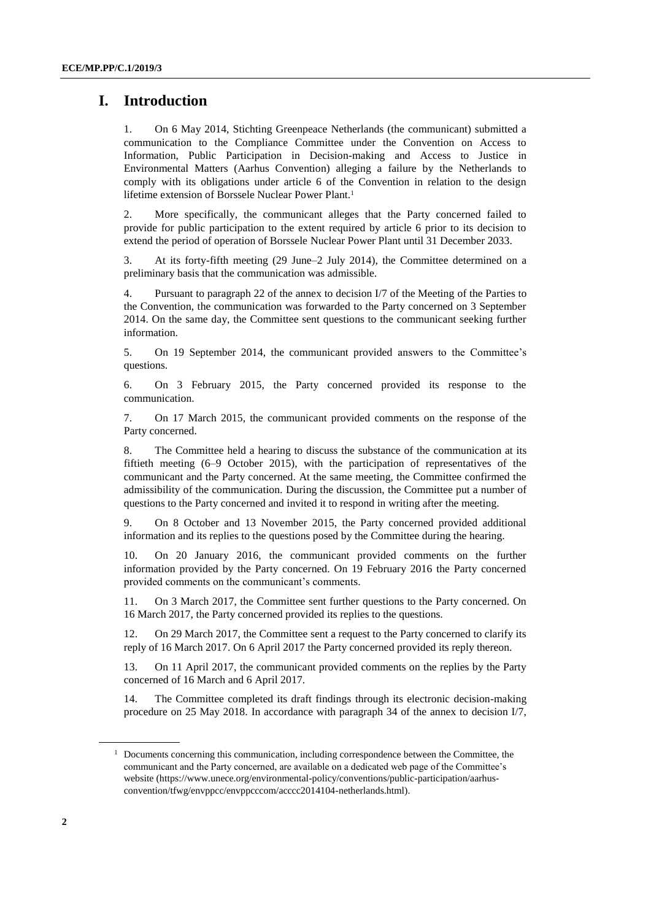# **I. Introduction**

1. On 6 May 2014, Stichting Greenpeace Netherlands (the communicant) submitted a communication to the Compliance Committee under the Convention on Access to Information, Public Participation in Decision-making and Access to Justice in Environmental Matters (Aarhus Convention) alleging a failure by the Netherlands to comply with its obligations under article 6 of the Convention in relation to the design lifetime extension of Borssele Nuclear Power Plant. 1

2. More specifically, the communicant alleges that the Party concerned failed to provide for public participation to the extent required by article 6 prior to its decision to extend the period of operation of Borssele Nuclear Power Plant until 31 December 2033.

3. At its forty-fifth meeting (29 June–2 July 2014), the Committee determined on a preliminary basis that the communication was admissible.

4. Pursuant to paragraph 22 of the annex to decision I/7 of the Meeting of the Parties to the Convention, the communication was forwarded to the Party concerned on 3 September 2014. On the same day, the Committee sent questions to the communicant seeking further information.

5. On 19 September 2014, the communicant provided answers to the Committee's questions.

6. On 3 February 2015, the Party concerned provided its response to the communication.

7. On 17 March 2015, the communicant provided comments on the response of the Party concerned.

8. The Committee held a hearing to discuss the substance of the communication at its fiftieth meeting (6–9 October 2015), with the participation of representatives of the communicant and the Party concerned. At the same meeting, the Committee confirmed the admissibility of the communication. During the discussion, the Committee put a number of questions to the Party concerned and invited it to respond in writing after the meeting.

9. On 8 October and 13 November 2015, the Party concerned provided additional information and its replies to the questions posed by the Committee during the hearing.

10. On 20 January 2016, the communicant provided comments on the further information provided by the Party concerned. On 19 February 2016 the Party concerned provided comments on the communicant's comments.

11. On 3 March 2017, the Committee sent further questions to the Party concerned. On 16 March 2017, the Party concerned provided its replies to the questions.

12. On 29 March 2017, the Committee sent a request to the Party concerned to clarify its reply of 16 March 2017. On 6 April 2017 the Party concerned provided its reply thereon.

13. On 11 April 2017, the communicant provided comments on the replies by the Party concerned of 16 March and 6 April 2017.

14. The Committee completed its draft findings through its electronic decision-making procedure on 25 May 2018. In accordance with paragraph 34 of the annex to decision I/7,

 $<sup>1</sup>$  Documents concerning this communication, including correspondence between the Committee, the</sup> communicant and the Party concerned, are available on a dedicated web page of the Committee's website (https://www.unece.org/environmental-policy/conventions/public-participation/aarhusconvention/tfwg/envppcc/envppcccom/acccc2014104-netherlands.html).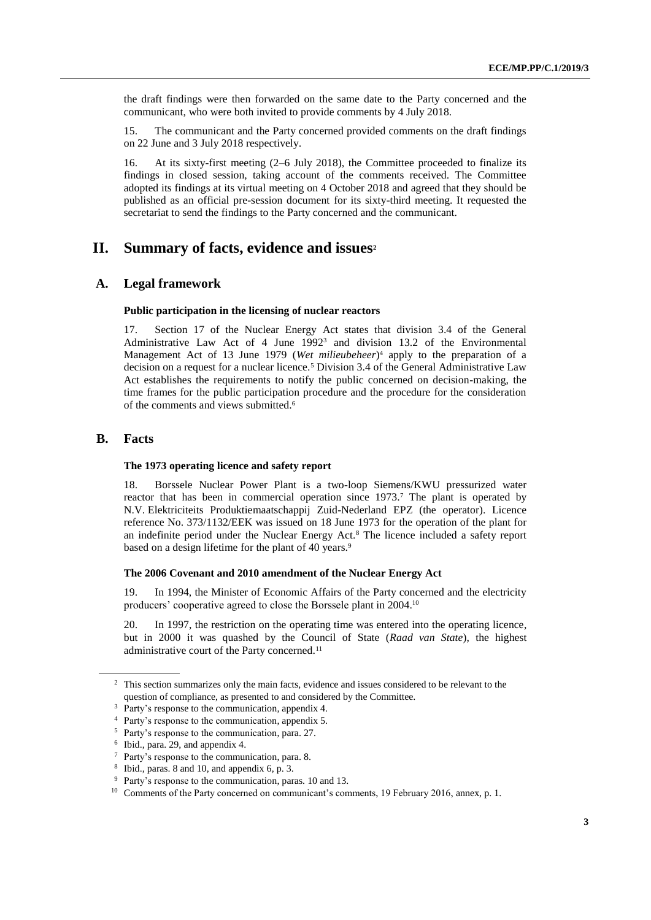the draft findings were then forwarded on the same date to the Party concerned and the communicant, who were both invited to provide comments by 4 July 2018.

15. The communicant and the Party concerned provided comments on the draft findings on 22 June and 3 July 2018 respectively*.*

16. At its sixty-first meeting (2–6 July 2018), the Committee proceeded to finalize its findings in closed session, taking account of the comments received. The Committee adopted its findings at its virtual meeting on 4 October 2018 and agreed that they should be published as an official pre-session document for its sixty-third meeting. It requested the secretariat to send the findings to the Party concerned and the communicant.

# **II. Summary of facts, evidence and issues<sup>2</sup>**

# **A. Legal framework**

#### **Public participation in the licensing of nuclear reactors**

17. Section 17 of the Nuclear Energy Act states that division 3.4 of the General Administrative Law Act of 4 June 1992<sup>3</sup> and division 13.2 of the Environmental Management Act of 13 June 1979 (*Wet milieubeheer*) <sup>4</sup> apply to the preparation of a decision on a request for a nuclear licence.<sup>5</sup> Division 3.4 of the General Administrative Law Act establishes the requirements to notify the public concerned on decision-making, the time frames for the public participation procedure and the procedure for the consideration of the comments and views submitted.<sup>6</sup>

## **B. Facts**

#### **The 1973 operating licence and safety report**

18. Borssele Nuclear Power Plant is a two-loop Siemens/KWU pressurized water reactor that has been in commercial operation since 1973.<sup>7</sup> The plant is operated by N.V. Elektriciteits Produktiemaatschappij Zuid-Nederland EPZ (the operator). Licence reference No. 373/1132/EEK was issued on 18 June 1973 for the operation of the plant for an indefinite period under the Nuclear Energy Act.<sup>8</sup> The licence included a safety report based on a design lifetime for the plant of 40 years.<sup>9</sup>

#### **The 2006 Covenant and 2010 amendment of the Nuclear Energy Act**

19. In 1994, the Minister of Economic Affairs of the Party concerned and the electricity producers' cooperative agreed to close the Borssele plant in 2004.<sup>10</sup>

20. In 1997, the restriction on the operating time was entered into the operating licence, but in 2000 it was quashed by the Council of State (*Raad van State*), the highest administrative court of the Party concerned.<sup>11</sup>

<sup>&</sup>lt;sup>2</sup> This section summarizes only the main facts, evidence and issues considered to be relevant to the question of compliance, as presented to and considered by the Committee.

<sup>&</sup>lt;sup>3</sup> Party's response to the communication, appendix 4.

<sup>4</sup> Party's response to the communication, appendix 5.

<sup>5</sup> Party's response to the communication, para. 27.

<sup>6</sup> Ibid., para. 29, and appendix 4.

<sup>7</sup> Party's response to the communication, para. 8.

<sup>8</sup> Ibid., paras. 8 and 10, and appendix 6, p. 3.

<sup>9</sup> Party's response to the communication, paras. 10 and 13.

<sup>&</sup>lt;sup>10</sup> Comments of the Party concerned on communicant's comments, 19 February 2016, annex, p. 1.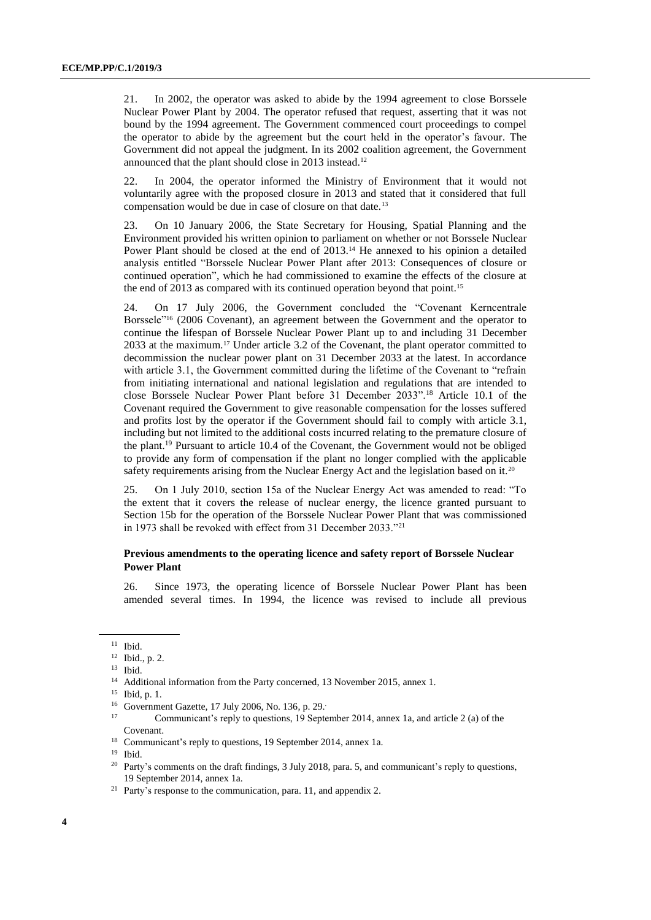<span id="page-3-0"></span>21. In 2002, the operator was asked to abide by the 1994 agreement to close Borssele Nuclear Power Plant by 2004. The operator refused that request, asserting that it was not bound by the 1994 agreement. The Government commenced court proceedings to compel the operator to abide by the agreement but the court held in the operator's favour. The Government did not appeal the judgment. In its 2002 coalition agreement, the Government announced that the plant should close in 2013 instead.<sup>12</sup>

22. In 2004, the operator informed the Ministry of Environment that it would not voluntarily agree with the proposed closure in 2013 and stated that it considered that full compensation would be due in case of closure on that date.<sup>13</sup>

23. On 10 January 2006, the State Secretary for Housing, Spatial Planning and the Environment provided his written opinion to parliament on whether or not Borssele Nuclear Power Plant should be closed at the end of 2013.<sup>14</sup> He annexed to his opinion a detailed analysis entitled "Borssele Nuclear Power Plant after 2013: Consequences of closure or continued operation", which he had commissioned to examine the effects of the closure at the end of 2013 as compared with its continued operation beyond that point.<sup>15</sup>

24. On 17 July 2006, the Government concluded the "Covenant Kerncentrale Borssele"<sup>16</sup> (2006 Covenant), an agreement between the Government and the operator to continue the lifespan of Borssele Nuclear Power Plant up to and including 31 December 2033 at the maximum.<sup>17</sup> Under article 3.2 of the Covenant, the plant operator committed to decommission the nuclear power plant on 31 December 2033 at the latest. In accordance with article 3.1, the Government committed during the lifetime of the Covenant to "refrain from initiating international and national legislation and regulations that are intended to close Borssele Nuclear Power Plant before 31 December 2033".<sup>18</sup> Article 10.1 of the Covenant required the Government to give reasonable compensation for the losses suffered and profits lost by the operator if the Government should fail to comply with article 3.1, including but not limited to the additional costs incurred relating to the premature closure of the plant. <sup>19</sup> Pursuant to article 10.4 of the Covenant, the Government would not be obliged to provide any form of compensation if the plant no longer complied with the applicable safety requirements arising from the Nuclear Energy Act and the legislation based on it.<sup>20</sup>

25. On 1 July 2010, section 15a of the Nuclear Energy Act was amended to read: "To the extent that it covers the release of nuclear energy, the licence granted pursuant to Section 15b for the operation of the Borssele Nuclear Power Plant that was commissioned in 1973 shall be revoked with effect from 31 December 2033."<sup>21</sup>

### **Previous amendments to the operating licence and safety report of Borssele Nuclear Power Plant**

26. Since 1973, the operating licence of Borssele Nuclear Power Plant has been amended several times. In 1994, the licence was revised to include all previous

<sup>11</sup> Ibid.

<sup>12</sup> Ibid., p. 2.

<sup>13</sup> Ibid.

<sup>&</sup>lt;sup>14</sup> Additional information from the Party concerned, 13 November 2015, annex 1.

<sup>15</sup> Ibid, p. 1.

<sup>&</sup>lt;sup>16</sup> Government Gazette, 17 July 2006, No. 136, p. 29.

<sup>17</sup> Communicant's reply to questions, 19 September 2014, annex 1a, and article 2 (a) of the Covenant.

<sup>18</sup> Communicant's reply to questions, 19 September 2014, annex 1a.

<sup>19</sup> Ibid.

<sup>&</sup>lt;sup>20</sup> Party's comments on the draft findings, 3 July 2018, para. 5, and communicant's reply to questions, 19 September 2014, annex 1a.

<sup>&</sup>lt;sup>21</sup> Party's response to the communication, para. 11, and appendix 2.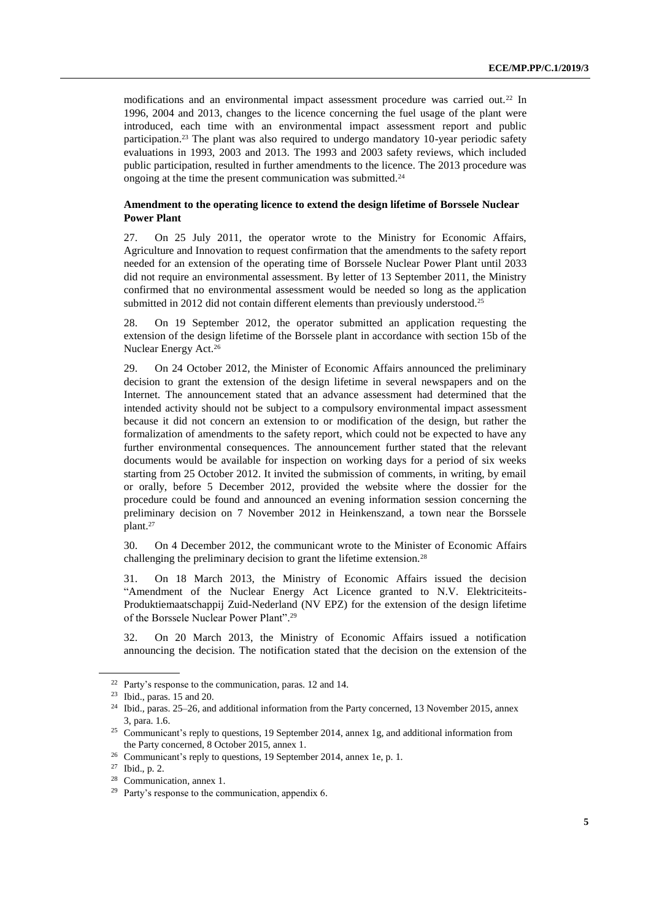modifications and an environmental impact assessment procedure was carried out.<sup>22</sup> In 1996, 2004 and 2013, changes to the licence concerning the fuel usage of the plant were introduced, each time with an environmental impact assessment report and public participation.<sup>23</sup> The plant was also required to undergo mandatory 10-year periodic safety evaluations in 1993, 2003 and 2013. The 1993 and 2003 safety reviews, which included public participation, resulted in further amendments to the licence. The 2013 procedure was ongoing at the time the present communication was submitted.<sup>24</sup>

### **Amendment to the operating licence to extend the design lifetime of Borssele Nuclear Power Plant**

27. On 25 July 2011, the operator wrote to the Ministry for Economic Affairs, Agriculture and Innovation to request confirmation that the amendments to the safety report needed for an extension of the operating time of Borssele Nuclear Power Plant until 2033 did not require an environmental assessment. By letter of 13 September 2011, the Ministry confirmed that no environmental assessment would be needed so long as the application submitted in 2012 did not contain different elements than previously understood.<sup>25</sup>

28. On 19 September 2012, the operator submitted an application requesting the extension of the design lifetime of the Borssele plant in accordance with section 15b of the Nuclear Energy Act.<sup>26</sup>

29. On 24 October 2012, the Minister of Economic Affairs announced the preliminary decision to grant the extension of the design lifetime in several newspapers and on the Internet. The announcement stated that an advance assessment had determined that the intended activity should not be subject to a compulsory environmental impact assessment because it did not concern an extension to or modification of the design, but rather the formalization of amendments to the safety report, which could not be expected to have any further environmental consequences. The announcement further stated that the relevant documents would be available for inspection on working days for a period of six weeks starting from 25 October 2012. It invited the submission of comments, in writing, by email or orally, before 5 December 2012, provided the website where the dossier for the procedure could be found and announced an evening information session concerning the preliminary decision on 7 November 2012 in Heinkenszand, a town near the Borssele plant. 27

30. On 4 December 2012, the communicant wrote to the Minister of Economic Affairs challenging the preliminary decision to grant the lifetime extension.<sup>28</sup>

31. On 18 March 2013, the Ministry of Economic Affairs issued the decision "Amendment of the Nuclear Energy Act Licence granted to N.V. Elektriciteits-Produktiemaatschappij Zuid-Nederland (NV EPZ) for the extension of the design lifetime of the Borssele Nuclear Power Plant". 29

32. On 20 March 2013, the Ministry of Economic Affairs issued a notification announcing the decision. The notification stated that the decision on the extension of the

<sup>22</sup> Party's response to the communication, paras. 12 and 14.

<sup>23</sup> Ibid., paras. 15 and 20.

<sup>24</sup> Ibid., paras. 25–26, and additional information from the Party concerned, 13 November 2015, annex 3, para. 1.6.

<sup>&</sup>lt;sup>25</sup> Communicant's reply to questions, 19 September 2014, annex 1g, and additional information from the Party concerned, 8 October 2015, annex 1.

<sup>&</sup>lt;sup>26</sup> Communicant's reply to questions, 19 September 2014, annex 1e, p. 1.

<sup>27</sup> Ibid., p. 2.

<sup>28</sup> Communication, annex 1.

<sup>29</sup> Party's response to the communication, appendix 6.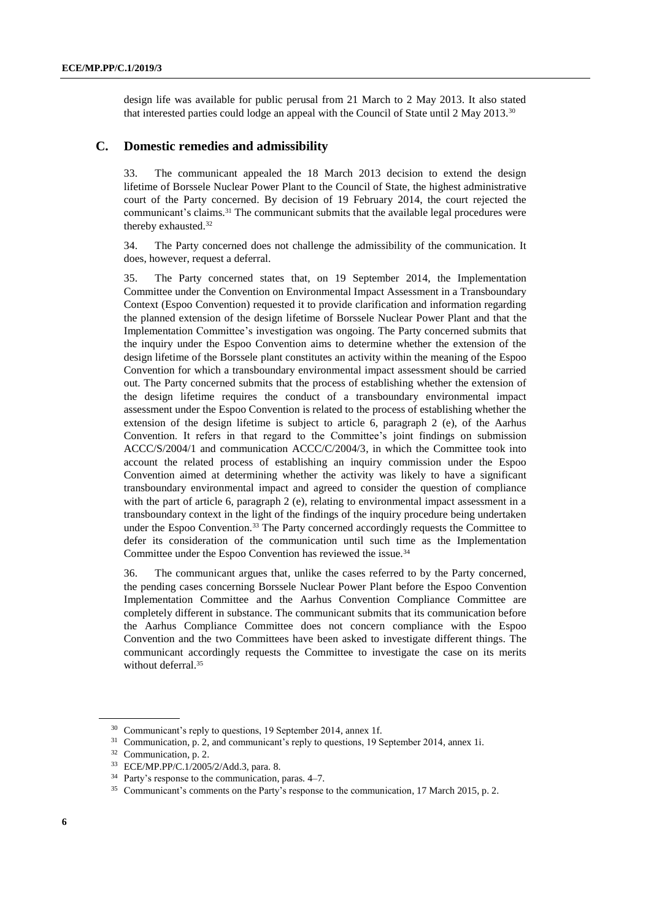design life was available for public perusal from 21 March to 2 May 2013. It also stated that interested parties could lodge an appeal with the Council of State until 2 May 2013.<sup>30</sup>

### **C. Domestic remedies and admissibility**

33. The communicant appealed the 18 March 2013 decision to extend the design lifetime of Borssele Nuclear Power Plant to the Council of State, the highest administrative court of the Party concerned. By decision of 19 February 2014, the court rejected the communicant's claims.<sup>31</sup> The communicant submits that the available legal procedures were thereby exhausted.<sup>32</sup>

34. The Party concerned does not challenge the admissibility of the communication. It does, however, request a deferral.

35. The Party concerned states that, on 19 September 2014, the Implementation Committee under the Convention on Environmental Impact Assessment in a Transboundary Context (Espoo Convention) requested it to provide clarification and information regarding the planned extension of the design lifetime of Borssele Nuclear Power Plant and that the Implementation Committee's investigation was ongoing. The Party concerned submits that the inquiry under the Espoo Convention aims to determine whether the extension of the design lifetime of the Borssele plant constitutes an activity within the meaning of the Espoo Convention for which a transboundary environmental impact assessment should be carried out. The Party concerned submits that the process of establishing whether the extension of the design lifetime requires the conduct of a transboundary environmental impact assessment under the Espoo Convention is related to the process of establishing whether the extension of the design lifetime is subject to article 6, paragraph 2 (e), of the Aarhus Convention. It refers in that regard to the Committee's joint findings on submission ACCC/S/2004/1 and communication ACCC/C/2004/3, in which the Committee took into account the related process of establishing an inquiry commission under the Espoo Convention aimed at determining whether the activity was likely to have a significant transboundary environmental impact and agreed to consider the question of compliance with the part of article 6, paragraph 2 (e), relating to environmental impact assessment in a transboundary context in the light of the findings of the inquiry procedure being undertaken under the Espoo Convention.<sup>33</sup> The Party concerned accordingly requests the Committee to defer its consideration of the communication until such time as the Implementation Committee under the Espoo Convention has reviewed the issue.<sup>34</sup>

36. The communicant argues that, unlike the cases referred to by the Party concerned, the pending cases concerning Borssele Nuclear Power Plant before the Espoo Convention Implementation Committee and the Aarhus Convention Compliance Committee are completely different in substance. The communicant submits that its communication before the Aarhus Compliance Committee does not concern compliance with the Espoo Convention and the two Committees have been asked to investigate different things. The communicant accordingly requests the Committee to investigate the case on its merits without deferral.<sup>35</sup>

<sup>30</sup> Communicant's reply to questions, 19 September 2014, annex 1f.

<sup>&</sup>lt;sup>31</sup> Communication, p. 2, and communicant's reply to questions, 19 September 2014, annex 1i.

<sup>32</sup> Communication, p. 2.

<sup>33</sup> ECE/MP.PP/C.1/2005/2/Add.3, para. 8.

<sup>34</sup> Party's response to the communication, paras. 4–7.

<sup>35</sup> Communicant's comments on the Party's response to the communication, 17 March 2015, p. 2.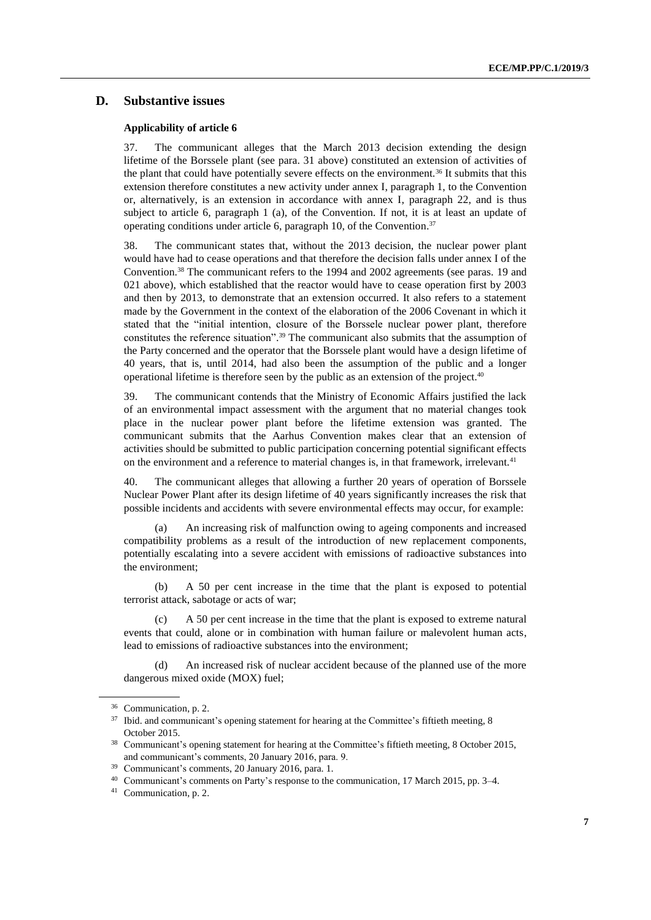# **D. Substantive issues**

#### **Applicability of article 6**

37. The communicant alleges that the March 2013 decision extending the design lifetime of the Borssele plant (see para. 31 above) constituted an extension of activities of the plant that could have potentially severe effects on the environment.<sup>36</sup> It submits that this extension therefore constitutes a new activity under annex I, paragraph 1, to the Convention or, alternatively, is an extension in accordance with annex I, paragraph 22, and is thus subject to article 6, paragraph 1 (a), of the Convention. If not, it is at least an update of operating conditions under article 6, paragraph 10, of the Convention. 37

38. The communicant states that, without the 2013 decision, the nuclear power plant would have had to cease operations and that therefore the decision falls under annex I of the Convention.<sup>38</sup> The communicant refers to the 1994 and 2002 agreements (see paras. 19 and [02](#page-3-0)1 above), which established that the reactor would have to cease operation first by 2003 and then by 2013, to demonstrate that an extension occurred. It also refers to a statement made by the Government in the context of the elaboration of the 2006 Covenant in which it stated that the "initial intention, closure of the Borssele nuclear power plant, therefore constitutes the reference situation". <sup>39</sup> The communicant also submits that the assumption of the Party concerned and the operator that the Borssele plant would have a design lifetime of 40 years, that is, until 2014, had also been the assumption of the public and a longer operational lifetime is therefore seen by the public as an extension of the project.<sup>40</sup>

39. The communicant contends that the Ministry of Economic Affairs justified the lack of an environmental impact assessment with the argument that no material changes took place in the nuclear power plant before the lifetime extension was granted. The communicant submits that the Aarhus Convention makes clear that an extension of activities should be submitted to public participation concerning potential significant effects on the environment and a reference to material changes is, in that framework, irrelevant.<sup>41</sup>

40. The communicant alleges that allowing a further 20 years of operation of Borssele Nuclear Power Plant after its design lifetime of 40 years significantly increases the risk that possible incidents and accidents with severe environmental effects may occur, for example:

(a) An increasing risk of malfunction owing to ageing components and increased compatibility problems as a result of the introduction of new replacement components, potentially escalating into a severe accident with emissions of radioactive substances into the environment;

(b) A 50 per cent increase in the time that the plant is exposed to potential terrorist attack, sabotage or acts of war;

(c) A 50 per cent increase in the time that the plant is exposed to extreme natural events that could, alone or in combination with human failure or malevolent human acts, lead to emissions of radioactive substances into the environment;

(d) An increased risk of nuclear accident because of the planned use of the more dangerous mixed oxide (MOX) fuel;

<sup>36</sup> Communication, p. 2.

<sup>&</sup>lt;sup>37</sup> Ibid. and communicant's opening statement for hearing at the Committee's fiftieth meeting, 8 October 2015.

<sup>&</sup>lt;sup>38</sup> Communicant's opening statement for hearing at the Committee's fiftieth meeting, 8 October 2015, and communicant's comments, 20 January 2016, para. 9.

Communicant's comments, 20 January 2016, para. 1.

<sup>40</sup> Communicant's comments on Party's response to the communication, 17 March 2015, pp. 3–4.

<sup>41</sup> Communication, p. 2.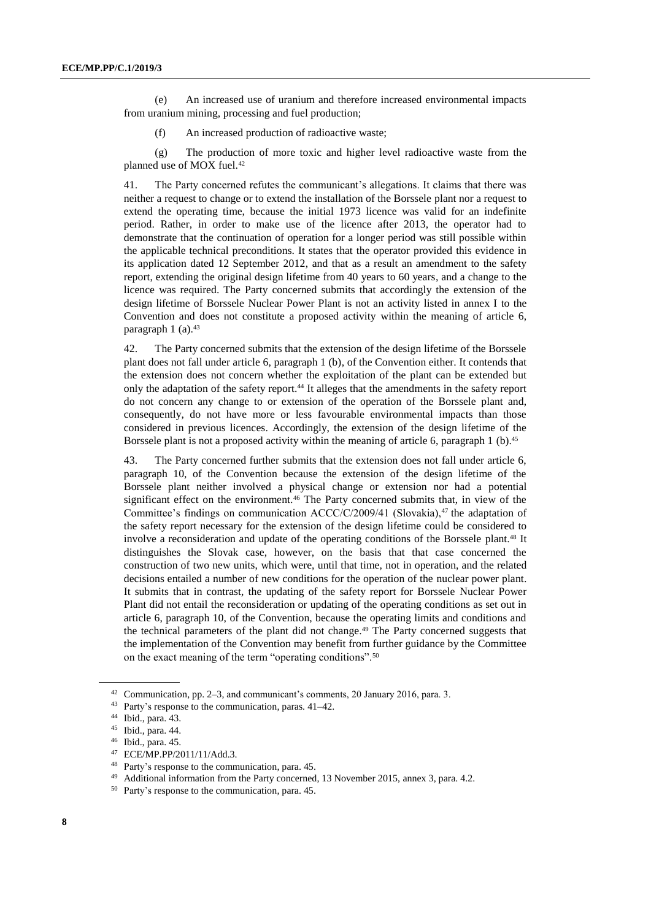(e) An increased use of uranium and therefore increased environmental impacts from uranium mining, processing and fuel production;

(f) An increased production of radioactive waste;

(g) The production of more toxic and higher level radioactive waste from the planned use of MOX fuel.<sup>42</sup>

41. The Party concerned refutes the communicant's allegations. It claims that there was neither a request to change or to extend the installation of the Borssele plant nor a request to extend the operating time, because the initial 1973 licence was valid for an indefinite period. Rather, in order to make use of the licence after 2013, the operator had to demonstrate that the continuation of operation for a longer period was still possible within the applicable technical preconditions. It states that the operator provided this evidence in its application dated 12 September 2012, and that as a result an amendment to the safety report, extending the original design lifetime from 40 years to 60 years, and a change to the licence was required. The Party concerned submits that accordingly the extension of the design lifetime of Borssele Nuclear Power Plant is not an activity listed in annex I to the Convention and does not constitute a proposed activity within the meaning of article 6, paragraph  $1$  (a).<sup>43</sup>

42. The Party concerned submits that the extension of the design lifetime of the Borssele plant does not fall under article 6, paragraph 1 (b), of the Convention either. It contends that the extension does not concern whether the exploitation of the plant can be extended but only the adaptation of the safety report.<sup>44</sup> It alleges that the amendments in the safety report do not concern any change to or extension of the operation of the Borssele plant and, consequently, do not have more or less favourable environmental impacts than those considered in previous licences. Accordingly, the extension of the design lifetime of the Borssele plant is not a proposed activity within the meaning of article 6, paragraph 1 (b).<sup>45</sup>

43. The Party concerned further submits that the extension does not fall under article 6, paragraph 10, of the Convention because the extension of the design lifetime of the Borssele plant neither involved a physical change or extension nor had a potential significant effect on the environment.<sup>46</sup> The Party concerned submits that, in view of the Committee's findings on communication ACCC/C/2009/41 (Slovakia), $47$  the adaptation of the safety report necessary for the extension of the design lifetime could be considered to involve a reconsideration and update of the operating conditions of the Borssele plant. <sup>48</sup> It distinguishes the Slovak case, however, on the basis that that case concerned the construction of two new units, which were, until that time, not in operation, and the related decisions entailed a number of new conditions for the operation of the nuclear power plant. It submits that in contrast, the updating of the safety report for Borssele Nuclear Power Plant did not entail the reconsideration or updating of the operating conditions as set out in article 6, paragraph 10, of the Convention, because the operating limits and conditions and the technical parameters of the plant did not change. <sup>49</sup> The Party concerned suggests that the implementation of the Convention may benefit from further guidance by the Committee on the exact meaning of the term "operating conditions".<sup>50</sup>

<sup>&</sup>lt;sup>42</sup> Communication, pp. 2–3, and communicant's comments, 20 January 2016, para. 3.<br><sup>43</sup> Perty's response to the communication, paras.  $41.42$ 

Party's response to the communication, paras.  $41-42$ .

<sup>44</sup> Ibid., para. 43.

<sup>45</sup> Ibid., para. 44.

<sup>46</sup> Ibid., para. 45.

<sup>47</sup> ECE/MP.PP/2011/11/Add.3.

<sup>48</sup> Party's response to the communication, para. 45.

<sup>49</sup> Additional information from the Party concerned, 13 November 2015, annex 3, para. 4.2.

<sup>50</sup> Party's response to the communication, para. 45.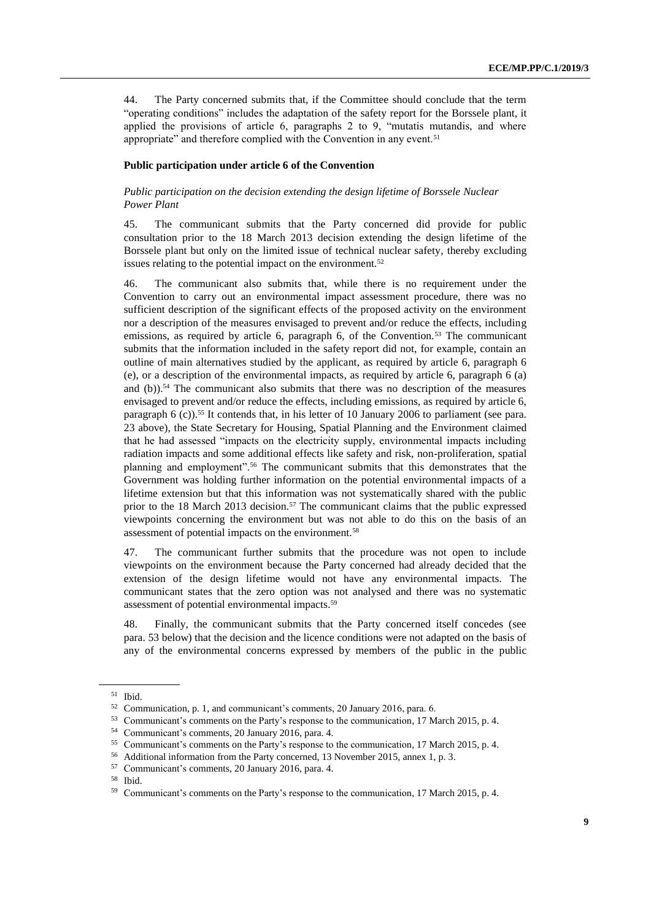44. The Party concerned submits that, if the Committee should conclude that the term "operating conditions" includes the adaptation of the safety report for the Borssele plant, it applied the provisions of article 6, paragraphs 2 to 9, "mutatis mutandis, and where appropriate" and therefore complied with the Convention in any event.<sup>51</sup>

#### **Public participation under article 6 of the Convention**

### *Public participation on the decision extending the design lifetime of Borssele Nuclear Power Plant*

45. The communicant submits that the Party concerned did provide for public consultation prior to the 18 March 2013 decision extending the design lifetime of the Borssele plant but only on the limited issue of technical nuclear safety, thereby excluding issues relating to the potential impact on the environment.<sup>52</sup>

46. The communicant also submits that, while there is no requirement under the Convention to carry out an environmental impact assessment procedure, there was no sufficient description of the significant effects of the proposed activity on the environment nor a description of the measures envisaged to prevent and/or reduce the effects, including emissions, as required by article 6, paragraph 6, of the Convention.<sup>53</sup> The communicant submits that the information included in the safety report did not, for example, contain an outline of main alternatives studied by the applicant, as required by article 6, paragraph 6 (e), or a description of the environmental impacts, as required by article 6, paragraph 6 (a) and (b)).<sup>54</sup> The communicant also submits that there was no description of the measures envisaged to prevent and/or reduce the effects, including emissions, as required by article 6, paragraph 6 (c)).<sup>55</sup> It contends that, in his letter of 10 January 2006 to parliament (see para. 23 above), the State Secretary for Housing, Spatial Planning and the Environment claimed that he had assessed "impacts on the electricity supply, environmental impacts including radiation impacts and some additional effects like safety and risk, non-proliferation, spatial planning and employment".<sup>56</sup> The communicant submits that this demonstrates that the Government was holding further information on the potential environmental impacts of a lifetime extension but that this information was not systematically shared with the public prior to the 18 March 2013 decision.<sup>57</sup> The communicant claims that the public expressed viewpoints concerning the environment but was not able to do this on the basis of an assessment of potential impacts on the environment.<sup>58</sup>

47. The communicant further submits that the procedure was not open to include viewpoints on the environment because the Party concerned had already decided that the extension of the design lifetime would not have any environmental impacts. The communicant states that the zero option was not analysed and there was no systematic assessment of potential environmental impacts.<sup>59</sup>

48. Finally, the communicant submits that the Party concerned itself concedes (see para. 53 below) that the decision and the licence conditions were not adapted on the basis of any of the environmental concerns expressed by members of the public in the public

<sup>51</sup> Ibid.

<sup>52</sup> Communication, p. 1, and communicant's comments, 20 January 2016, para. 6.

<sup>53</sup> Communicant's comments on the Party's response to the communication, 17 March 2015, p. 4.

<sup>54</sup> Communicant's comments, 20 January 2016, para. 4.

<sup>55</sup> Communicant's comments on the Party's response to the communication, 17 March 2015, p. 4.

<sup>56</sup> Additional information from the Party concerned, 13 November 2015, annex 1, p. 3.

<sup>57</sup> Communicant's comments, 20 January 2016, para. 4.

<sup>58</sup> Ibid.

<sup>59</sup> Communicant's comments on the Party's response to the communication, 17 March 2015, p. 4.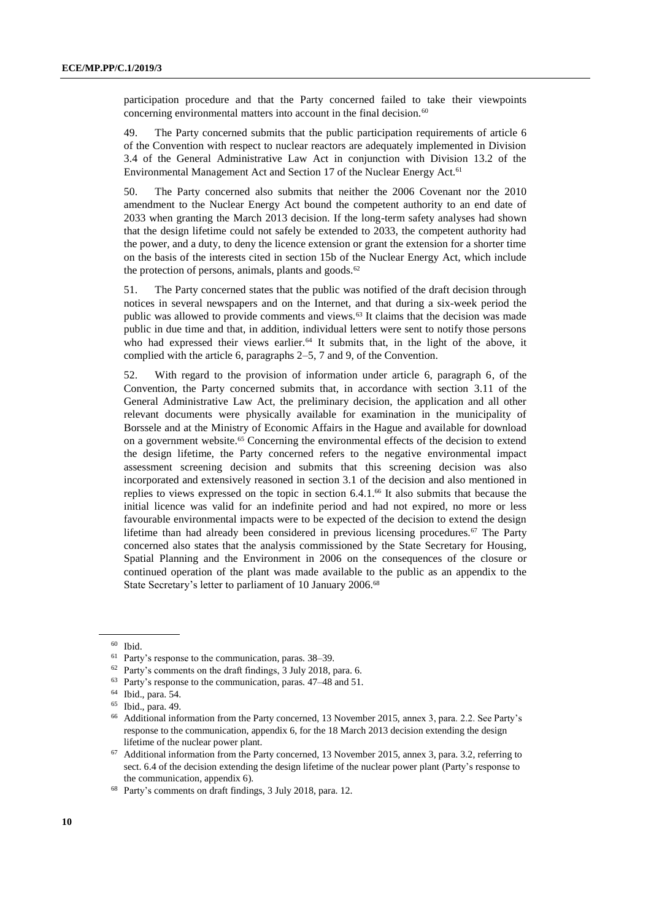participation procedure and that the Party concerned failed to take their viewpoints concerning environmental matters into account in the final decision.<sup>60</sup>

49. The Party concerned submits that the public participation requirements of article 6 of the Convention with respect to nuclear reactors are adequately implemented in Division 3.4 of the General Administrative Law Act in conjunction with Division 13.2 of the Environmental Management Act and Section 17 of the Nuclear Energy Act.<sup>61</sup>

50. The Party concerned also submits that neither the 2006 Covenant nor the 2010 amendment to the Nuclear Energy Act bound the competent authority to an end date of 2033 when granting the March 2013 decision. If the long-term safety analyses had shown that the design lifetime could not safely be extended to 2033, the competent authority had the power, and a duty, to deny the licence extension or grant the extension for a shorter time on the basis of the interests cited in section 15b of the Nuclear Energy Act, which include the protection of persons, animals, plants and goods. $62$ 

51. The Party concerned states that the public was notified of the draft decision through notices in several newspapers and on the Internet, and that during a six-week period the public was allowed to provide comments and views.<sup>63</sup> It claims that the decision was made public in due time and that, in addition, individual letters were sent to notify those persons who had expressed their views earlier.<sup>64</sup> It submits that, in the light of the above, it complied with the article 6, paragraphs 2–5, 7 and 9, of the Convention.

52. With regard to the provision of information under article 6, paragraph 6, of the Convention, the Party concerned submits that, in accordance with section 3.11 of the General Administrative Law Act, the preliminary decision, the application and all other relevant documents were physically available for examination in the municipality of Borssele and at the Ministry of Economic Affairs in the Hague and available for download on a government website.<sup>65</sup> Concerning the environmental effects of the decision to extend the design lifetime, the Party concerned refers to the negative environmental impact assessment screening decision and submits that this screening decision was also incorporated and extensively reasoned in section 3.1 of the decision and also mentioned in replies to views expressed on the topic in section 6.4.1.<sup>66</sup> It also submits that because the initial licence was valid for an indefinite period and had not expired, no more or less favourable environmental impacts were to be expected of the decision to extend the design lifetime than had already been considered in previous licensing procedures.<sup>67</sup> The Party concerned also states that the analysis commissioned by the State Secretary for Housing, Spatial Planning and the Environment in 2006 on the consequences of the closure or continued operation of the plant was made available to the public as an appendix to the State Secretary's letter to parliament of 10 January 2006.<sup>68</sup>

<sup>60</sup> Ibid.

<sup>61</sup> Party's response to the communication, paras. 38–39.

<sup>62</sup> Party's comments on the draft findings, 3 July 2018, para. 6.

<sup>63</sup> Party's response to the communication, paras. 47–48 and 51.

<sup>64</sup> Ibid., para. 54.

<sup>65</sup> Ibid., para. 49.

<sup>66</sup> Additional information from the Party concerned, 13 November 2015, annex 3, para. 2.2. See Party's response to the communication, appendix 6, for the 18 March 2013 decision extending the design lifetime of the nuclear power plant.

<sup>67</sup> Additional information from the Party concerned, 13 November 2015, annex 3, para. 3.2, referring to sect. 6.4 of the decision extending the design lifetime of the nuclear power plant (Party's response to the communication, appendix 6).

<sup>68</sup> Party's comments on draft findings, 3 July 2018, para. 12.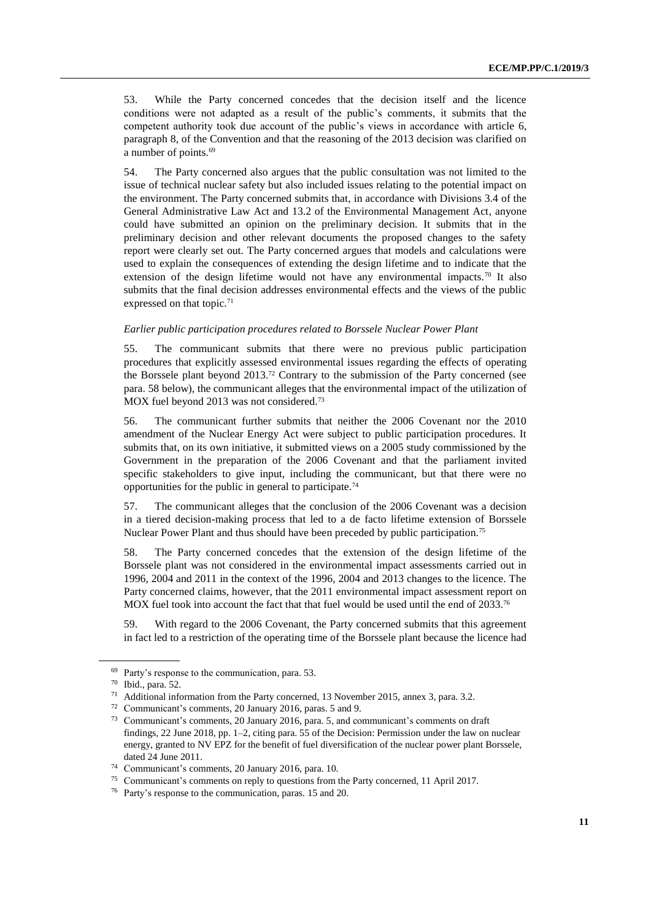53. While the Party concerned concedes that the decision itself and the licence conditions were not adapted as a result of the public's comments, it submits that the competent authority took due account of the public's views in accordance with article 6, paragraph 8, of the Convention and that the reasoning of the 2013 decision was clarified on a number of points.<sup>69</sup>

54. The Party concerned also argues that the public consultation was not limited to the issue of technical nuclear safety but also included issues relating to the potential impact on the environment. The Party concerned submits that, in accordance with Divisions 3.4 of the General Administrative Law Act and 13.2 of the Environmental Management Act, anyone could have submitted an opinion on the preliminary decision. It submits that in the preliminary decision and other relevant documents the proposed changes to the safety report were clearly set out. The Party concerned argues that models and calculations were used to explain the consequences of extending the design lifetime and to indicate that the extension of the design lifetime would not have any environmental impacts.<sup>70</sup> It also submits that the final decision addresses environmental effects and the views of the public expressed on that topic.<sup>71</sup>

### *Earlier public participation procedures related to Borssele Nuclear Power Plant*

55. The communicant submits that there were no previous public participation procedures that explicitly assessed environmental issues regarding the effects of operating the Borssele plant beyond 2013.<sup>72</sup> Contrary to the submission of the Party concerned (see para. 58 below), the communicant alleges that the environmental impact of the utilization of MOX fuel beyond 2013 was not considered.<sup>73</sup>

56. The communicant further submits that neither the 2006 Covenant nor the 2010 amendment of the Nuclear Energy Act were subject to public participation procedures. It submits that, on its own initiative, it submitted views on a 2005 study commissioned by the Government in the preparation of the 2006 Covenant and that the parliament invited specific stakeholders to give input, including the communicant, but that there were no opportunities for the public in general to participate.<sup>74</sup>

57. The communicant alleges that the conclusion of the 2006 Covenant was a decision in a tiered decision-making process that led to a de facto lifetime extension of Borssele Nuclear Power Plant and thus should have been preceded by public participation.<sup>75</sup>

58. The Party concerned concedes that the extension of the design lifetime of the Borssele plant was not considered in the environmental impact assessments carried out in 1996, 2004 and 2011 in the context of the 1996, 2004 and 2013 changes to the licence. The Party concerned claims, however, that the 2011 environmental impact assessment report on MOX fuel took into account the fact that that fuel would be used until the end of 2033.<sup>76</sup>

59. With regard to the 2006 Covenant, the Party concerned submits that this agreement in fact led to a restriction of the operating time of the Borssele plant because the licence had

<sup>69</sup> Party's response to the communication, para. 53.

<sup>70</sup> Ibid., para. 52.

<sup>&</sup>lt;sup>71</sup> Additional information from the Party concerned, 13 November 2015, annex 3, para. 3.2.

<sup>72</sup> Communicant's comments, 20 January 2016, paras. 5 and 9.

<sup>73</sup> Communicant's comments, 20 January 2016, para. 5, and communicant's comments on draft findings, 22 June 2018, pp. 1–2, citing para. 55 of the Decision: Permission under the law on nuclear energy, granted to NV EPZ for the benefit of fuel diversification of the nuclear power plant Borssele, dated 24 June 2011.

<sup>74</sup> Communicant's comments, 20 January 2016, para. 10.

<sup>75</sup> Communicant's comments on reply to questions from the Party concerned, 11 April 2017.

<sup>76</sup> Party's response to the communication, paras. 15 and 20.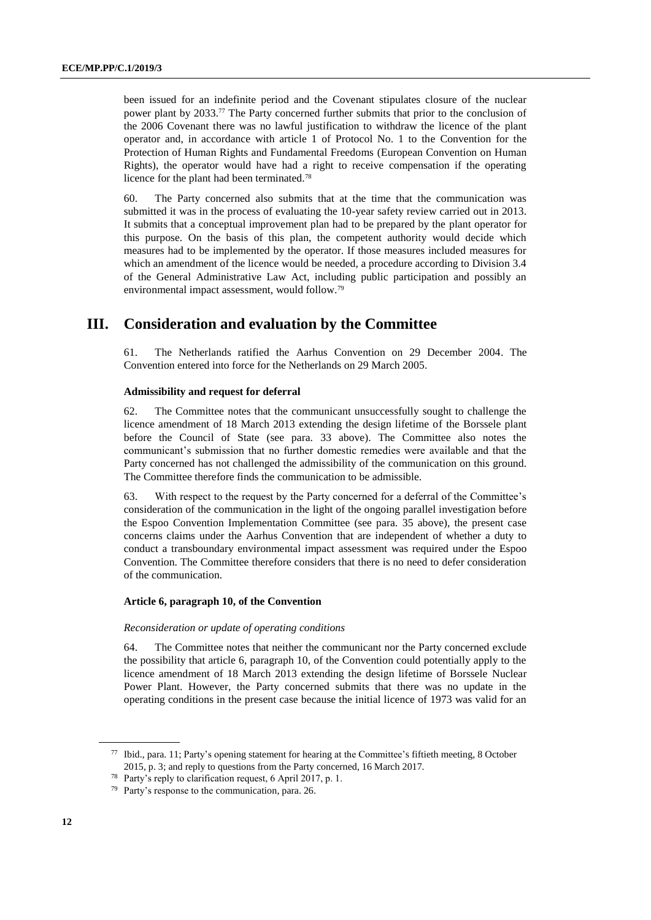been issued for an indefinite period and the Covenant stipulates closure of the nuclear power plant by 2033.<sup>77</sup> The Party concerned further submits that prior to the conclusion of the 2006 Covenant there was no lawful justification to withdraw the licence of the plant operator and, in accordance with article 1 of Protocol No. 1 to the Convention for the Protection of Human Rights and Fundamental Freedoms (European Convention on Human Rights), the operator would have had a right to receive compensation if the operating licence for the plant had been terminated.<sup>78</sup>

60. The Party concerned also submits that at the time that the communication was submitted it was in the process of evaluating the 10-year safety review carried out in 2013. It submits that a conceptual improvement plan had to be prepared by the plant operator for this purpose. On the basis of this plan, the competent authority would decide which measures had to be implemented by the operator. If those measures included measures for which an amendment of the licence would be needed, a procedure according to Division 3.4 of the General Administrative Law Act, including public participation and possibly an environmental impact assessment, would follow.<sup>79</sup>

# **III. Consideration and evaluation by the Committee**

61. The Netherlands ratified the Aarhus Convention on 29 December 2004. The Convention entered into force for the Netherlands on 29 March 2005.

#### **Admissibility and request for deferral**

62. The Committee notes that the communicant unsuccessfully sought to challenge the licence amendment of 18 March 2013 extending the design lifetime of the Borssele plant before the Council of State (see para. 33 above). The Committee also notes the communicant's submission that no further domestic remedies were available and that the Party concerned has not challenged the admissibility of the communication on this ground. The Committee therefore finds the communication to be admissible.

63. With respect to the request by the Party concerned for a deferral of the Committee's consideration of the communication in the light of the ongoing parallel investigation before the Espoo Convention Implementation Committee (see para. 35 above), the present case concerns claims under the Aarhus Convention that are independent of whether a duty to conduct a transboundary environmental impact assessment was required under the Espoo Convention. The Committee therefore considers that there is no need to defer consideration of the communication.

#### **Article 6, paragraph 10, of the Convention**

#### *Reconsideration or update of operating conditions*

64. The Committee notes that neither the communicant nor the Party concerned exclude the possibility that article 6, paragraph 10, of the Convention could potentially apply to the licence amendment of 18 March 2013 extending the design lifetime of Borssele Nuclear Power Plant. However, the Party concerned submits that there was no update in the operating conditions in the present case because the initial licence of 1973 was valid for an

 $77$  Ibid., para. 11; Party's opening statement for hearing at the Committee's fiftieth meeting, 8 October 2015, p. 3; and reply to questions from the Party concerned, 16 March 2017.

<sup>78</sup> Party's reply to clarification request, 6 April 2017, p. 1.

<sup>79</sup> Party's response to the communication, para. 26.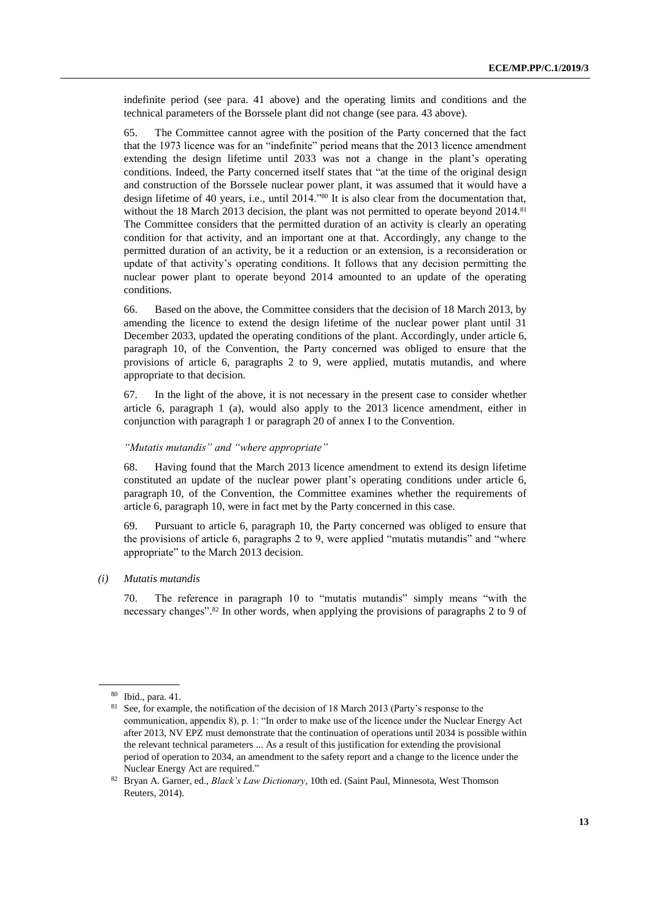indefinite period (see para. 41 above) and the operating limits and conditions and the technical parameters of the Borssele plant did not change (see para. 43 above).

65. The Committee cannot agree with the position of the Party concerned that the fact that the 1973 licence was for an "indefinite" period means that the 2013 licence amendment extending the design lifetime until 2033 was not a change in the plant's operating conditions. Indeed, the Party concerned itself states that "at the time of the original design and construction of the Borssele nuclear power plant, it was assumed that it would have a design lifetime of 40 years, i.e., until 2014."<sup>80</sup> It is also clear from the documentation that, without the 18 March 2013 decision, the plant was not permitted to operate beyond 2014.<sup>81</sup> The Committee considers that the permitted duration of an activity is clearly an operating condition for that activity, and an important one at that. Accordingly, any change to the permitted duration of an activity, be it a reduction or an extension, is a reconsideration or update of that activity's operating conditions. It follows that any decision permitting the nuclear power plant to operate beyond 2014 amounted to an update of the operating conditions.

66. Based on the above, the Committee considers that the decision of 18 March 2013, by amending the licence to extend the design lifetime of the nuclear power plant until 31 December 2033, updated the operating conditions of the plant. Accordingly, under article 6, paragraph 10, of the Convention, the Party concerned was obliged to ensure that the provisions of article 6, paragraphs 2 to 9, were applied, mutatis mutandis, and where appropriate to that decision.

67. In the light of the above, it is not necessary in the present case to consider whether article 6, paragraph 1 (a), would also apply to the 2013 licence amendment, either in conjunction with paragraph 1 or paragraph 20 of annex I to the Convention.

### *"Mutatis mutandis" and "where appropriate"*

68. Having found that the March 2013 licence amendment to extend its design lifetime constituted an update of the nuclear power plant's operating conditions under article 6, paragraph 10, of the Convention, the Committee examines whether the requirements of article 6, paragraph 10, were in fact met by the Party concerned in this case.

69. Pursuant to article 6, paragraph 10, the Party concerned was obliged to ensure that the provisions of article 6, paragraphs 2 to 9, were applied "mutatis mutandis" and "where appropriate" to the March 2013 decision.

*(i) Mutatis mutandis*

70. The reference in paragraph 10 to "mutatis mutandis" simply means "with the necessary changes". <sup>82</sup> In other words, when applying the provisions of paragraphs 2 to 9 of

<sup>80</sup> Ibid., para. 41.

 $81$  See, for example, the notification of the decision of 18 March 2013 (Party's response to the communication, appendix 8), p. 1: "In order to make use of the licence under the Nuclear Energy Act after 2013, NV EPZ must demonstrate that the continuation of operations until 2034 is possible within the relevant technical parameters ... As a result of this justification for extending the provisional period of operation to 2034, an amendment to the safety report and a change to the licence under the Nuclear Energy Act are required."

<sup>82</sup> Bryan A. Garner, ed., *Black's Law Dictionary*, 10th ed. (Saint Paul, Minnesota, West Thomson Reuters, 2014).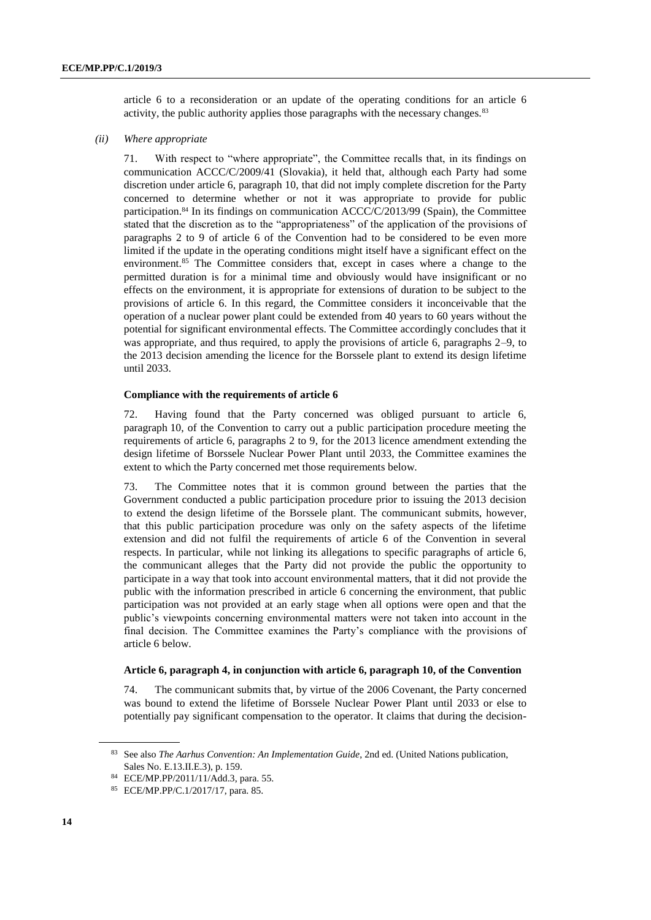article 6 to a reconsideration or an update of the operating conditions for an article 6 activity, the public authority applies those paragraphs with the necessary changes.<sup>83</sup>

### *(ii) Where appropriate*

71. With respect to "where appropriate", the Committee recalls that, in its findings on communication ACCC/C/2009/41 (Slovakia), it held that, although each Party had some discretion under article 6, paragraph 10, that did not imply complete discretion for the Party concerned to determine whether or not it was appropriate to provide for public participation.<sup>84</sup> In its findings on communication ACCC/C/2013/99 (Spain), the Committee stated that the discretion as to the "appropriateness" of the application of the provisions of paragraphs 2 to 9 of article 6 of the Convention had to be considered to be even more limited if the update in the operating conditions might itself have a significant effect on the environment.<sup>85</sup> The Committee considers that, except in cases where a change to the permitted duration is for a minimal time and obviously would have insignificant or no effects on the environment, it is appropriate for extensions of duration to be subject to the provisions of article 6. In this regard, the Committee considers it inconceivable that the operation of a nuclear power plant could be extended from 40 years to 60 years without the potential for significant environmental effects. The Committee accordingly concludes that it was appropriate, and thus required, to apply the provisions of article 6, paragraphs 2–9, to the 2013 decision amending the licence for the Borssele plant to extend its design lifetime until 2033.

#### **Compliance with the requirements of article 6**

72. Having found that the Party concerned was obliged pursuant to article 6, paragraph 10, of the Convention to carry out a public participation procedure meeting the requirements of article 6, paragraphs 2 to 9, for the 2013 licence amendment extending the design lifetime of Borssele Nuclear Power Plant until 2033, the Committee examines the extent to which the Party concerned met those requirements below.

73. The Committee notes that it is common ground between the parties that the Government conducted a public participation procedure prior to issuing the 2013 decision to extend the design lifetime of the Borssele plant. The communicant submits, however, that this public participation procedure was only on the safety aspects of the lifetime extension and did not fulfil the requirements of article 6 of the Convention in several respects. In particular, while not linking its allegations to specific paragraphs of article 6, the communicant alleges that the Party did not provide the public the opportunity to participate in a way that took into account environmental matters, that it did not provide the public with the information prescribed in article 6 concerning the environment, that public participation was not provided at an early stage when all options were open and that the public's viewpoints concerning environmental matters were not taken into account in the final decision. The Committee examines the Party's compliance with the provisions of article 6 below.

#### **Article 6, paragraph 4, in conjunction with article 6, paragraph 10, of the Convention**

74. The communicant submits that, by virtue of the 2006 Covenant, the Party concerned was bound to extend the lifetime of Borssele Nuclear Power Plant until 2033 or else to potentially pay significant compensation to the operator. It claims that during the decision-

<sup>83</sup> See also *The Aarhus Convention: An Implementation Guide*, 2nd ed. (United Nations publication, Sales No. E.13.II.E.3), p. 159.

<sup>84</sup> ECE/MP.PP/2011/11/Add.3, para. 55.

<sup>85</sup> ECE/MP.PP/C.1/2017/17, para. 85.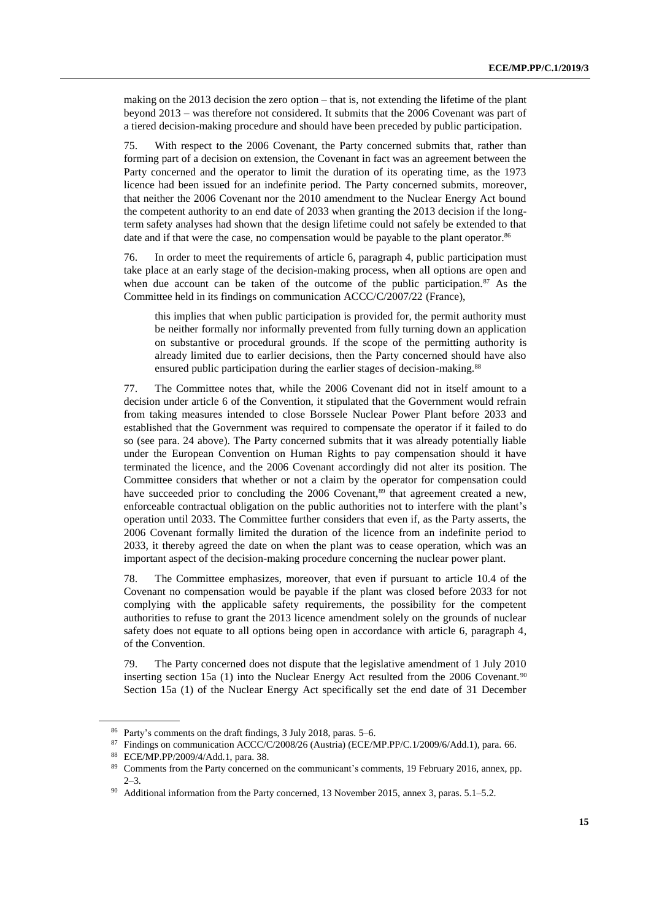making on the 2013 decision the zero option – that is, not extending the lifetime of the plant beyond 2013 – was therefore not considered. It submits that the 2006 Covenant was part of a tiered decision-making procedure and should have been preceded by public participation.

75. With respect to the 2006 Covenant, the Party concerned submits that, rather than forming part of a decision on extension, the Covenant in fact was an agreement between the Party concerned and the operator to limit the duration of its operating time, as the 1973 licence had been issued for an indefinite period. The Party concerned submits, moreover, that neither the 2006 Covenant nor the 2010 amendment to the Nuclear Energy Act bound the competent authority to an end date of 2033 when granting the 2013 decision if the longterm safety analyses had shown that the design lifetime could not safely be extended to that date and if that were the case, no compensation would be payable to the plant operator.<sup>86</sup>

76. In order to meet the requirements of article 6, paragraph 4, public participation must take place at an early stage of the decision-making process, when all options are open and when due account can be taken of the outcome of the public participation. $87$  As the Committee held in its findings on communication ACCC/C/2007/22 (France),

this implies that when public participation is provided for, the permit authority must be neither formally nor informally prevented from fully turning down an application on substantive or procedural grounds. If the scope of the permitting authority is already limited due to earlier decisions, then the Party concerned should have also ensured public participation during the earlier stages of decision-making.<sup>88</sup>

77. The Committee notes that, while the 2006 Covenant did not in itself amount to a decision under article 6 of the Convention, it stipulated that the Government would refrain from taking measures intended to close Borssele Nuclear Power Plant before 2033 and established that the Government was required to compensate the operator if it failed to do so (see para. 24 above). The Party concerned submits that it was already potentially liable under the European Convention on Human Rights to pay compensation should it have terminated the licence, and the 2006 Covenant accordingly did not alter its position. The Committee considers that whether or not a claim by the operator for compensation could have succeeded prior to concluding the 2006 Covenant,<sup>89</sup> that agreement created a new, enforceable contractual obligation on the public authorities not to interfere with the plant's operation until 2033. The Committee further considers that even if, as the Party asserts, the 2006 Covenant formally limited the duration of the licence from an indefinite period to 2033, it thereby agreed the date on when the plant was to cease operation, which was an important aspect of the decision-making procedure concerning the nuclear power plant.

78. The Committee emphasizes, moreover, that even if pursuant to article 10.4 of the Covenant no compensation would be payable if the plant was closed before 2033 for not complying with the applicable safety requirements, the possibility for the competent authorities to refuse to grant the 2013 licence amendment solely on the grounds of nuclear safety does not equate to all options being open in accordance with article 6, paragraph 4, of the Convention.

79. The Party concerned does not dispute that the legislative amendment of 1 July 2010 inserting section 15a (1) into the Nuclear Energy Act resulted from the 2006 Covenant.<sup>90</sup> Section 15a (1) of the Nuclear Energy Act specifically set the end date of 31 December

<sup>86</sup> Party's comments on the draft findings, 3 July 2018, paras. 5–6.

<sup>87</sup> Findings on communication ACCC/C/2008/26 (Austria) (ECE/MP.PP/C.1/2009/6/Add.1), para. 66.

<sup>88</sup> ECE/MP.PP/2009/4/Add.1, para. 38.

<sup>89</sup> Comments from the Party concerned on the communicant's comments, 19 February 2016, annex, pp. 2–3.

Additional information from the Party concerned, 13 November 2015, annex 3, paras. 5.1–5.2.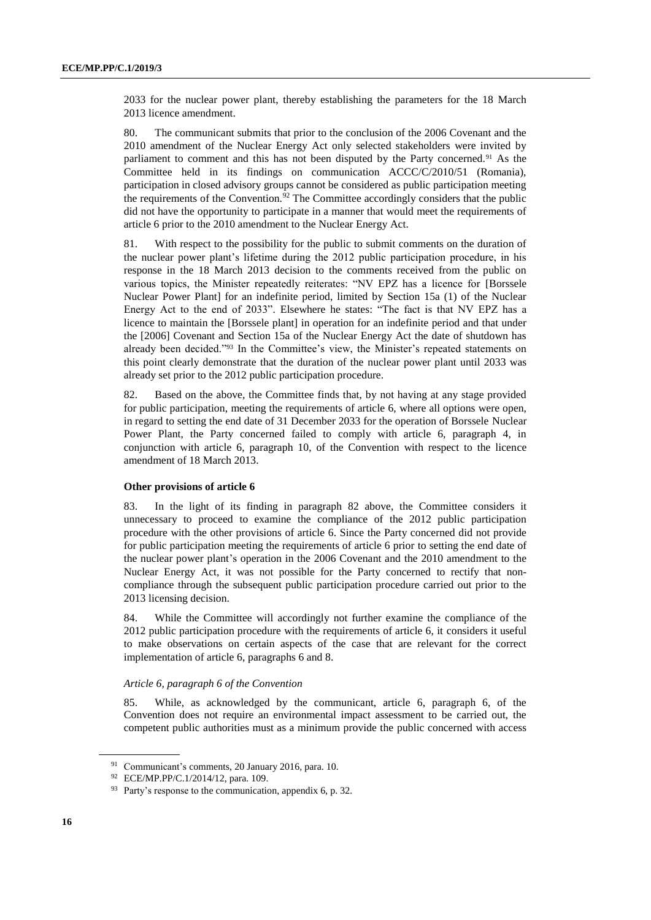2033 for the nuclear power plant, thereby establishing the parameters for the 18 March 2013 licence amendment.

80. The communicant submits that prior to the conclusion of the 2006 Covenant and the 2010 amendment of the Nuclear Energy Act only selected stakeholders were invited by parliament to comment and this has not been disputed by the Party concerned.<sup>91</sup> As the Committee held in its findings on communication ACCC/C/2010/51 (Romania), participation in closed advisory groups cannot be considered as public participation meeting the requirements of the Convention.<sup>92</sup> The Committee accordingly considers that the public did not have the opportunity to participate in a manner that would meet the requirements of article 6 prior to the 2010 amendment to the Nuclear Energy Act.

81. With respect to the possibility for the public to submit comments on the duration of the nuclear power plant's lifetime during the 2012 public participation procedure, in his response in the 18 March 2013 decision to the comments received from the public on various topics, the Minister repeatedly reiterates: "NV EPZ has a licence for [Borssele Nuclear Power Plant] for an indefinite period, limited by Section 15a (1) of the Nuclear Energy Act to the end of 2033". Elsewhere he states: "The fact is that NV EPZ has a licence to maintain the [Borssele plant] in operation for an indefinite period and that under the [2006] Covenant and Section 15a of the Nuclear Energy Act the date of shutdown has already been decided."<sup>93</sup> In the Committee's view, the Minister's repeated statements on this point clearly demonstrate that the duration of the nuclear power plant until 2033 was already set prior to the 2012 public participation procedure.

82. Based on the above, the Committee finds that, by not having at any stage provided for public participation, meeting the requirements of article 6, where all options were open, in regard to setting the end date of 31 December 2033 for the operation of Borssele Nuclear Power Plant, the Party concerned failed to comply with article 6, paragraph 4, in conjunction with article 6, paragraph 10, of the Convention with respect to the licence amendment of 18 March 2013.

### **Other provisions of article 6**

83. In the light of its finding in paragraph 82 above, the Committee considers it unnecessary to proceed to examine the compliance of the 2012 public participation procedure with the other provisions of article 6. Since the Party concerned did not provide for public participation meeting the requirements of article 6 prior to setting the end date of the nuclear power plant's operation in the 2006 Covenant and the 2010 amendment to the Nuclear Energy Act, it was not possible for the Party concerned to rectify that noncompliance through the subsequent public participation procedure carried out prior to the 2013 licensing decision.

84. While the Committee will accordingly not further examine the compliance of the 2012 public participation procedure with the requirements of article 6, it considers it useful to make observations on certain aspects of the case that are relevant for the correct implementation of article 6, paragraphs 6 and 8.

#### *Article 6, paragraph 6 of the Convention*

85. While, as acknowledged by the communicant, article 6, paragraph 6, of the Convention does not require an environmental impact assessment to be carried out, the competent public authorities must as a minimum provide the public concerned with access

<sup>91</sup> Communicant's comments, 20 January 2016, para. 10.

<sup>92</sup> ECE/MP.PP/C.1/2014/12, para. 109.

<sup>&</sup>lt;sup>93</sup> Party's response to the communication, appendix 6, p. 32.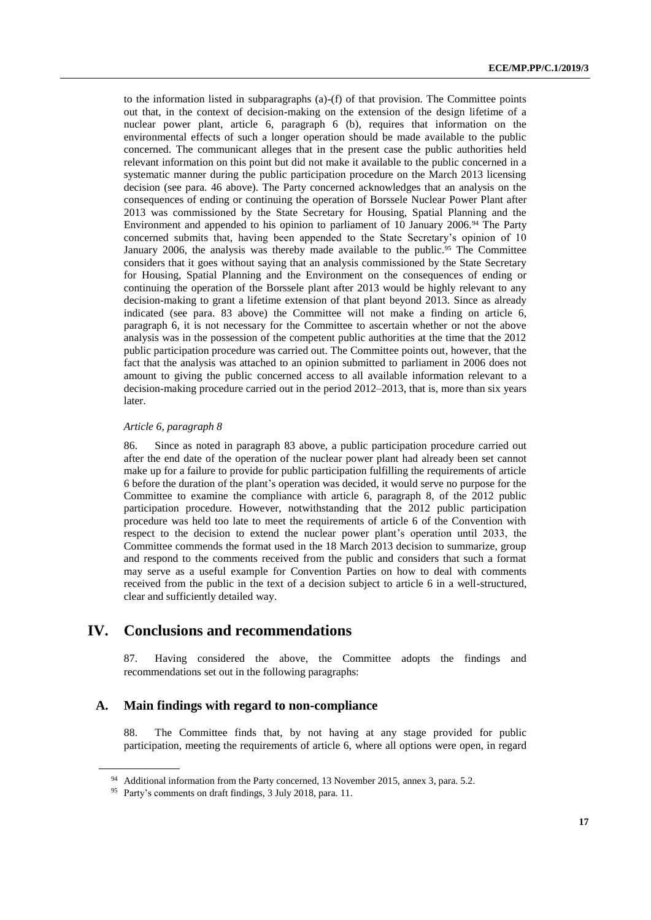to the information listed in subparagraphs (a)-(f) of that provision. The Committee points out that, in the context of decision-making on the extension of the design lifetime of a nuclear power plant, article 6, paragraph 6 (b), requires that information on the environmental effects of such a longer operation should be made available to the public concerned. The communicant alleges that in the present case the public authorities held relevant information on this point but did not make it available to the public concerned in a systematic manner during the public participation procedure on the March 2013 licensing decision (see para. 46 above). The Party concerned acknowledges that an analysis on the consequences of ending or continuing the operation of Borssele Nuclear Power Plant after 2013 was commissioned by the State Secretary for Housing, Spatial Planning and the Environment and appended to his opinion to parliament of 10 January 2006.<sup>94</sup> The Party concerned submits that, having been appended to the State Secretary's opinion of 10 January 2006, the analysis was thereby made available to the public.<sup>95</sup> The Committee considers that it goes without saying that an analysis commissioned by the State Secretary for Housing, Spatial Planning and the Environment on the consequences of ending or continuing the operation of the Borssele plant after 2013 would be highly relevant to any decision-making to grant a lifetime extension of that plant beyond 2013. Since as already indicated (see para. 83 above) the Committee will not make a finding on article 6, paragraph 6, it is not necessary for the Committee to ascertain whether or not the above analysis was in the possession of the competent public authorities at the time that the 2012 public participation procedure was carried out. The Committee points out, however, that the fact that the analysis was attached to an opinion submitted to parliament in 2006 does not amount to giving the public concerned access to all available information relevant to a decision-making procedure carried out in the period 2012–2013, that is, more than six years later.

### *Article 6, paragraph 8*

86. Since as noted in paragraph 83 above, a public participation procedure carried out after the end date of the operation of the nuclear power plant had already been set cannot make up for a failure to provide for public participation fulfilling the requirements of article 6 before the duration of the plant's operation was decided, it would serve no purpose for the Committee to examine the compliance with article 6, paragraph 8, of the 2012 public participation procedure. However, notwithstanding that the 2012 public participation procedure was held too late to meet the requirements of article 6 of the Convention with respect to the decision to extend the nuclear power plant's operation until 2033, the Committee commends the format used in the 18 March 2013 decision to summarize, group and respond to the comments received from the public and considers that such a format may serve as a useful example for Convention Parties on how to deal with comments received from the public in the text of a decision subject to article 6 in a well-structured, clear and sufficiently detailed way.

# **IV. Conclusions and recommendations**

87. Having considered the above, the Committee adopts the findings and recommendations set out in the following paragraphs:

### **A. Main findings with regard to non-compliance**

88. The Committee finds that, by not having at any stage provided for public participation, meeting the requirements of article 6, where all options were open, in regard

<sup>94</sup> Additional information from the Party concerned, 13 November 2015, annex 3, para. 5.2.

<sup>95</sup> Party's comments on draft findings, 3 July 2018, para. 11.